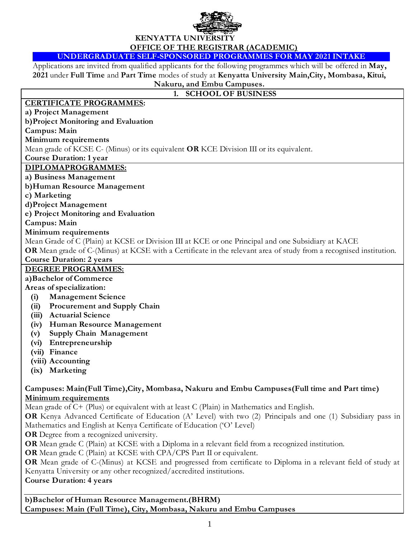

# **KENYATTA UNIVERSITY OFFICE OF THE REGISTRAR (ACADEMIC)**

**UNDERGRADUATE SELF-SPONSORED PROGRAMMES FOR MAY 2021 INTAKE**

Applications are invited from qualified applicants for the following programmes which will be offered in **May, 2021** under **Full Time** and **Part Time** modes of study at **Kenyatta University Main,City, Mombasa, Kitui, Nakuru, and Embu Campuses.**

# **1. SCHOOL OF BUSINESS**

## **CERTIFICATE PROGRAMMES:**

**a) Project Management** 

**b)Project Monitoring and Evaluation**

**Campus: Main**

# **Minimum requirements**

Mean grade of KCSE C- (Minus) or its equivalent **OR** KCE Division III or its equivalent.

**Course Duration: 1 year**

#### **DIPLOMAPROGRAMMES:**

**a) Business Management**

**b)Human Resource Management** 

**c) Marketing**

**d)Project Management** 

**e) Project Monitoring and Evaluation** 

**Campus: Main**

#### **Minimum requirements**

Mean Grade of C (Plain) at KCSE or Division III at KCE or one Principal and one Subsidiary at KACE

**OR** Mean grade of C-(Minus) at KCSE with a Certificate in the relevant area of study from a recognised institution. **Course Duration: 2 years**

## **DEGREE PROGRAMMES:**

## **a)Bachelor of Commerce**

**Areas of specialization:**

- **(i) Management Science**
- **(ii) Procurement and Supply Chain**
- **(iii) Actuarial Science**
- **(iv) Human Resource Management**
- **(v) Supply Chain Management**
- **(vi) Entrepreneurship**
- **(vii) Finance**
- **(viii) Accounting**
- **(ix) Marketing**

## **Campuses: Main(Full Time),City, Mombasa, Nakuru and Embu Campuses(Full time and Part time) Minimum requirements**

Mean grade of C+ (Plus) or equivalent with at least C (Plain) in Mathematics and English.

**OR** Kenya Advanced Certificate of Education (A' Level) with two (2) Principals and one (1) Subsidiary pass in Mathematics and English at Kenya Certificate of Education ('O' Level)

**OR** Degree from a recognized university.

**OR** Mean grade C (Plain) at KCSE with a Diploma in a relevant field from a recognized institution.

**OR** Mean grade C (Plain) at KCSE with CPA/CPS Part II or equivalent.

**OR** Mean grade of C-(Minus) at KCSE and progressed from certificate to Diploma in a relevant field of study at Kenyatta University or any other recognized/accredited institutions.

## **Course Duration: 4 years**

**b)Bachelor of Human Resource Management.(BHRM) Campuses: Main (Full Time), City, Mombasa, Nakuru and Embu Campuses**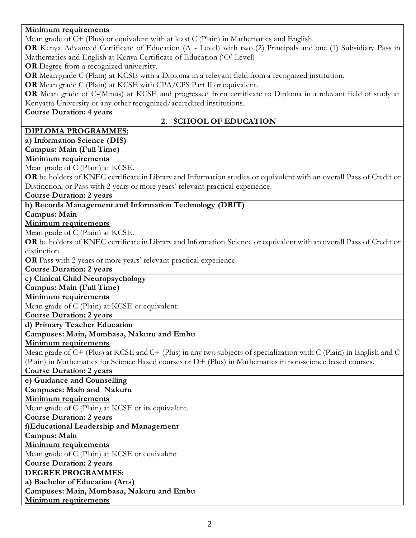# **Minimum requirements**

| Mean grade of $C$ + (Plus) or equivalent with at least $C$ (Plain) in Mathematics and English.                       |
|----------------------------------------------------------------------------------------------------------------------|
| OR Kenya Advanced Certificate of Education (A - Level) with two (2) Principals and one (1) Subsidiary Pass in        |
| Mathematics and English at Kenya Certificate of Education ('O' Level)                                                |
| OR Degree from a recognized university.                                                                              |
| OR Mean grade C (Plain) at KCSE with a Diploma in a relevant field from a recognized institution.                    |
| OR Mean grade C (Plain) at KCSE with CPA/CPS Part II or equivalent.                                                  |
| OR Mean grade of C-(Minus) at KCSE and progressed from certificate to Diploma in a relevant field of study at        |
| Kenyatta University or any other recognized/accredited institutions.                                                 |
| <b>Course Duration: 4 years</b>                                                                                      |
| 2. SCHOOL OF EDUCATION                                                                                               |
| <b>DIPLOMA PROGRAMMES:</b>                                                                                           |
| a) Information Science (DIS)                                                                                         |
| Campus: Main (Full Time)                                                                                             |
| <b>Minimum requirements</b>                                                                                          |
| Mean grade of C (Plain) at KCSE.                                                                                     |
| OR be holders of KNEC certificate in Library and Information studies or equivalent with an overall Pass of Credit or |
| Distinction, or Pass with 2 years or more years' relevant practical experience.                                      |
| <b>Course Duration: 2 years</b>                                                                                      |
| b) Records Management and Information Technology (DRIT)                                                              |
| Campus: Main                                                                                                         |
| <b>Minimum requirements</b>                                                                                          |
| Mean grade of C (Plain) at KCSE.                                                                                     |
| OR be holders of KNEC certificate in Library and Information Science or equivalent with an overall Pass of Credit or |
| distinction.                                                                                                         |
| OR Pass with 2 years or more years' relevant practical experience.                                                   |
| <b>Course Duration: 2 years</b>                                                                                      |
| c) Clinical Child Neuropsychology                                                                                    |
| Campus: Main (Full Time)                                                                                             |
| <b>Minimum requirements</b>                                                                                          |
| Mean grade of C (Plain) at KCSE or equivalent.                                                                       |
| <b>Course Duration: 2 years</b>                                                                                      |
| d) Primary Teacher Education                                                                                         |
| Campuses: Main, Mombasa, Nakuru and Embu                                                                             |
| <b>Minimum requirements</b>                                                                                          |
| Mean grade of C+ (Plus) at KCSE and C+ (Plus) in any two subjects of specialization with C (Plain) in English and C  |
| (Plain) in Mathematics for Science Based courses or D+ (Plus) in Mathematics in non-science based courses.           |
| <b>Course Duration: 2 years</b>                                                                                      |
| e) Guidance and Counselling                                                                                          |
| Campuses: Main and Nakuru                                                                                            |
| <b>Minimum requirements</b>                                                                                          |
| Mean grade of C (Plain) at KCSE or its equivalent.                                                                   |
| <b>Course Duration: 2 years</b>                                                                                      |
| f)Educational Leadership and Management                                                                              |
| Campus: Main                                                                                                         |
| <b>Minimum requirements</b>                                                                                          |
| Mean grade of C (Plain) at KCSE or equivalent                                                                        |
| <b>Course Duration: 2 years</b>                                                                                      |
| <b>DEGREE PROGRAMMES:</b>                                                                                            |
| a) Bachelor of Education (Arts)                                                                                      |
| Campuses: Main, Mombasa, Nakuru and Embu                                                                             |
| <b>Minimum requirements</b>                                                                                          |
|                                                                                                                      |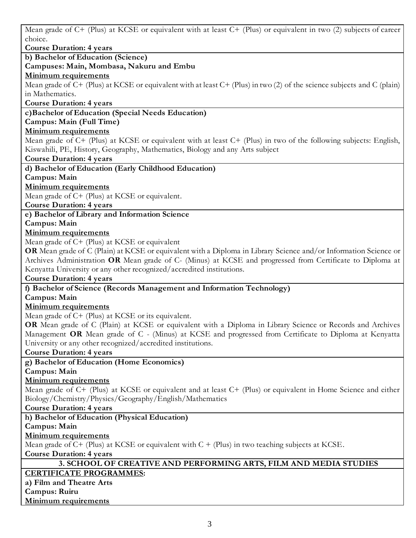Mean grade of C+ (Plus) at KCSE or equivalent with at least C+ (Plus) or equivalent in two (2) subjects of career choice.

**Course Duration: 4 years b) Bachelor of Education (Science) Campuses: Main, Mombasa, Nakuru and Embu Minimum requirements** Mean grade of C+ (Plus) at KCSE or equivalent with at least C+ (Plus) in two (2) of the science subjects and C (plain) in Mathematics. **Course Duration: 4 years c)Bachelor of Education (Special Needs Education) Campus: Main (Full Time) Minimum requirements** Mean grade of C+ (Plus) at KCSE or equivalent with at least C+ (Plus) in two of the following subjects: English, Kiswahili, PE, History, Geography, Mathematics, Biology and any Arts subject **Course Duration: 4 years d) Bachelor of Education (Early Childhood Education) Campus: Main Minimum requirements** Mean grade of C+ (Plus) at KCSE or equivalent. **Course Duration: 4 years e) Bachelor of Library and Information Science Campus: Main Minimum requirements** Mean grade of C+ (Plus) at KCSE or equivalent **OR** Mean grade of C (Plain) at KCSE or equivalent with a Diploma in Library Science and/or Information Science or Archives Administration **OR** Mean grade of C- (Minus) at KCSE and progressed from Certificate to Diploma at Kenyatta University or any other recognized/accredited institutions. **Course Duration: 4 years f) Bachelor of Science (Records Management and Information Technology) Campus: Main Minimum requirements** Mean grade of C+ (Plus) at KCSE or its equivalent. **OR** Mean grade of C (Plain) at KCSE or equivalent with a Diploma in Library Science or Records and Archives Management **OR** Mean grade of C - (Minus) at KCSE and progressed from Certificate to Diploma at Kenyatta University or any other recognized/accredited institutions. **Course Duration: 4 years g) Bachelor of Education (Home Economics) Campus: Main Minimum requirements** Mean grade of C+ (Plus) at KCSE or equivalent and at least C+ (Plus) or equivalent in Home Science and either Biology/Chemistry/Physics/Geography/English/Mathematics **Course Duration: 4 years h) Bachelor of Education (Physical Education) Campus: Main Minimum requirements** Mean grade of  $C+$  (Plus) at KCSE or equivalent with  $C+$  (Plus) in two teaching subjects at KCSE. **Course Duration: 4 years 3. SCHOOL OF CREATIVE AND PERFORMING ARTS, FILM AND MEDIA STUDIES CERTIFICATE PROGRAMMES: a) Film and Theatre Arts Campus: Ruiru Minimum requirements**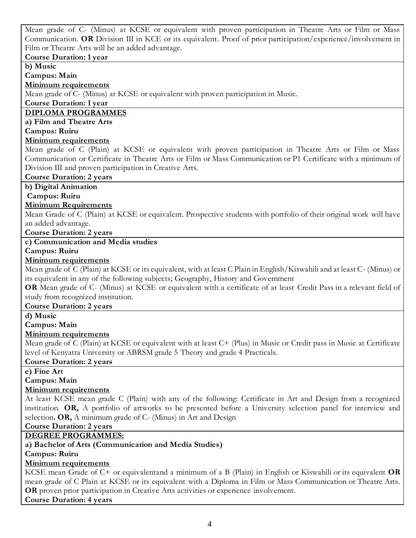Mean grade of C- (Minus) at KCSE or equivalent with proven participation in Theatre Arts or Film or Mass Communication. **OR** Division III in KCE or its equivalent. Proof of prior participation/experience/involvement in Film or Theatre Arts will be an added advantage.

#### **Course Duration: 1 year**

**b) Music**

**Campus: Main**

### **Minimum requirements**

Mean grade of C- (Minus) at KCSE or equivalent with proven participation in Music.

#### **Course Duration: 1 year**

## **DIPLOMA PROGRAMMES**

## **a) Film and Theatre Arts**

**Campus: Ruiru**

#### **Minimum requirements**

Mean grade of C (Plain) at KCSE or equivalent with proven participation in Theatre Arts or Film or Mass Communication or Certificate in Theatre Arts or Film or Mass Communication or P1 Certificate with a minimum of Division III and proven participation in Creative Arts.

#### **Course Duration: 2 years**

**b) Digital Animation**

**Campus: Ruiru**

#### **Minimum Requirements**

Mean Grade of C (Plain) at KCSE or equivalent. Prospective students with portfolio of their original work will have an added advantage.

#### **Course Duration: 2 years**

**c) Communication and Media studies**

#### **Campus: Ruiru**

#### **Minimum requirements**

Mean grade of C (Plain) at KCSE or its equivalent, with at least C Plain in English/Kiswahili and at least C- (Minus) or its equivalent in any of the following subjects; Geography, History and Government

**OR** Mean grade of C- (Minus) at KCSE or equivalent with a certificate of at least Credit Pass in a relevant field of study from recognized institution.

#### **Course Duration: 2 years**

**d) Music**

#### **Campus: Main**

#### **Minimum requirements**

Mean grade of C (Plain) at KCSE or equivalent with at least C+ (Plus) in Music or Credit pass in Music at Certificate level of Kenyatta University or ABRSM grade 5 Theory and grade 4 Practicals.

#### **Course Duration: 2 years**

**e) Fine Art**

#### **Campus: Main**

#### **Minimum requirements**

At least KCSE mean grade C (Plain) with any of the following: Certificate in Art and Design from a recognized institution. **OR,** A portfolio of artworks to be presented before a University selection panel for interview and selection**. OR,** A minimum grade of C- (Minus) in Art and Design

# **Course Duration: 2 years**

#### **DEGREE PROGRAMMES:**

**a) Bachelor of Arts (Communication and Media Studies)**

#### **Campus: Ruiru**

#### **Minimum requirements**

KCSE mean Grade of C+ or equivalentand a minimum of a B (Plain) in English or Kiswahili or its equivalent **OR**  mean grade of C Plain at KCSE or its equivalent with a Diploma in Film or Mass Communication or Theatre Arts. **OR** proven prior participation in Creative Arts activities or experience involvement.

#### **Course Duration: 4 years**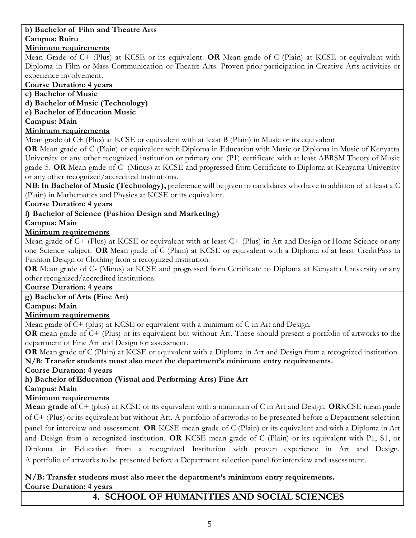## **b) Bachelor of Film and Theatre Arts Campus: Ruiru**

# **Minimum requirements**

Mean Grade of C+ (Plus) at KCSE or its equivalent. **OR** Mean grade of C (Plain) at KCSE or equivalent with Diploma in Film or Mass Communication or Theatre Arts. Proven prior participation in Creative Arts activities or experience involvement.

## **Course Duration: 4 years**

**c) Bachelor of Music** 

**d) Bachelor of Music (Technology)**

**e) Bachelor of Education Music** 

**Campus: Main**

## **Minimum requirements**

Mean grade of C+ (Plus) at KCSE or equivalent with at least B (Plain) in Music or its equivalent

**OR** Mean grade of C (Plain) or equivalent with Diploma in Education with Music or Diploma in Music of Kenyatta University or any other recognized institution or primary one (P1) certificate with at least ABRSM Theory of Music grade 5. **OR** Mean grade of C- (Minus) at KCSE and progressed from Certificate to Diploma at Kenyatta University or any other recognized/accredited institutions.

**NB**: **In Bachelor of Music (Technology),** preference will be given to candidates who have in addition of at least a C (Plain) in Mathematics and Physics at KCSE or its equivalent.

## **Course Duration: 4 years**

# **f) Bachelor of Science (Fashion Design and Marketing)**

## **Campus: Main**

## **Minimum requirements**

Mean grade of C+ (Plus) at KCSE or equivalent with at least C+ (Plus) in Art and Design or Home Science or any one Science subject. **OR** Mean grade of C (Plain) at KCSE or equivalent with a Diploma of at least CreditPass in Fashion Design or Clothing from a recognized institution.

**OR** Mean grade of C- (Minus) at KCSE and progressed from Certificate to Diploma at Kenyatta University or any other recognized/accredited institutions.

## **Course Duration: 4 years**

**g) Bachelor of Arts (Fine Art)** 

## **Campus: Main**

## **Minimum requirements**

Mean grade of C+ (plus) at KCSE or equivalent with a minimum of C in Art and Design.

**OR** mean grade of C+ (Plus) or its equivalent but without Art. These should present a portfolio of artworks to the department of Fine Art and Design for assessment.

**OR** Mean grade of C (Plain) at KCSE or equivalent with a Diploma in Art and Design from a recognized institution. **N/B: Transfer students must also meet the department's minimum entry requirements.**

**Course Duration: 4 years**

# **h) Bachelor of Education (Visual and Performing Arts) Fine Art**

# **Campus: Main**

# **Minimum requirements**

**Mean grade of** C+ (plus) at KCSE or its equivalent with a minimum of C in Art and Design. **OR**KCSE mean grade of C+ (Plus) or its equivalent but without Art. A portfolio of artworks to be presented before a Department selection panel for interview and assessment. **OR** KCSE mean grade of C (Plain) or its equivalent and with a Diploma in Art and Design from a recognized institution. **OR** KCSE mean grade of C (Plain) or its equivalent with P1, S1, or Diploma in Education from a recognized Institution with proven experience in Art and Design. A portfolio of artworks to be presented before a Department selection panel for interview and assessment.

## **N/B: Transfer students must also meet the department's minimum entry requirements. Course Duration: 4 years**

# **4. SCHOOL OF HUMANITIES AND SOCIAL SCIENCES**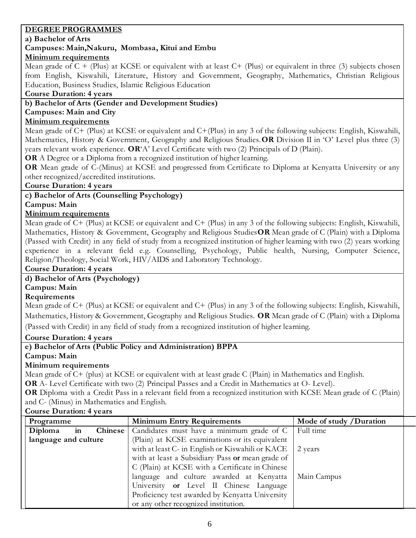## **DEGREE PROGRAMMES**

#### **a) Bachelor of Arts**

## **Campuses: Main,Nakuru, Mombasa, Kitui and Embu**

## **Minimum requirements**

Mean grade of  $C +$  (Plus) at KCSE or equivalent with at least  $C +$  (Plus) or equivalent in three (3) subjects chosen from English, Kiswahili, Literature, History and Government, Geography, Mathematics, Christian Religious Education, Business Studies, Islamic Religious Education

## **Course Duration: 4 years**

## **b) Bachelor of Arts (Gender and Development Studies)**

## **Campuses: Main and City**

## **Minimum requirements**

Mean grade of C+ (Plus) at KCSE or equivalent and C+(Plus) in any 3 of the following subjects: English, Kiswahili, Mathematics, History & Government, Geography and Religious Studies.**OR** Division II in 'O' Level plus three (3) years relevant work experience. **OR**'A' Level Certificate with two (2) Principals of D (Plain).

**OR** A Degree or a Diploma from a recognized institution of higher learning.

**OR** Mean grade of C-(Minus) at KCSE and progressed from Certificate to Diploma at Kenyatta University or any other recognized/accredited institutions.

## **Course Duration: 4 years**

# **c) Bachelor of Arts (Counselling Psychology)**

**Campus: Main**

## **Minimum requirements**

Mean grade of C+ (Plus) at KCSE or equivalent and C+ (Plus) in any 3 of the following subjects: English, Kiswahili, Mathematics, History & Government, Geography and Religious Studies**OR** Mean grade of C (Plain) with a Diploma (Passed with Credit) in any field of study from a recognized institution of higher learning with two (2) years working experience in a relevant field e.g. Counselling, Psychology, Public health, Nursing, Computer Science, Religion/Theology, Social Work, HIV/AIDS and Laboratory Technology.

**Course Duration: 4 years** 

## **d) Bachelor of Arts (Psychology)**

## **Campus: Main**

#### **Requirements**

Mean grade of C+ (Plus) at KCSE or equivalent and C+ (Plus) in any 3 of the following subjects: English, Kiswahili, Mathematics, History & Government, Geography and Religious Studies. **OR** Mean grade of C (Plain) with a Diploma (Passed with Credit) in any field of study from a recognized institution of higher learning.

## **Course Duration: 4 years**

**e) Bachelor of Arts (Public Policy and Administration) BPPA**

#### **Campus: Main**

## **Minimum requirements**

Mean grade of C+ (plus) at KCSE or equivalent with at least grade C (Plain) in Mathematics and English.

**OR** A- Level Certificate with two (2) Principal Passes and a Credit in Mathematics at O- Level).

**OR** Diploma with a Credit Pass in a relevant field from a recognized institution with KCSE Mean grade of C (Plain) and C- (Minus) in Mathematics and English.

## **Course Duration: 4 years**

| Programme                             | <b>Minimum Entry Requirements</b>                                    | Mode of study /Duration |
|---------------------------------------|----------------------------------------------------------------------|-------------------------|
| Diploma<br>Chinese <sup>'</sup><br>in | Candidates must have a minimum grade of C                            | Full time               |
| language and culture                  | (Plain) at KCSE examinations or its equivalent                       |                         |
|                                       | with at least C- in English or Kiswahili or KACE $\parallel$ 2 years |                         |
|                                       | with at least a Subsidiary Pass or mean grade of                     |                         |
|                                       | C (Plain) at KCSE with a Certificate in Chinese                      |                         |
|                                       | language and culture awarded at Kenyatta                             | Main Campus             |
|                                       | University or Level II Chinese Language                              |                         |
|                                       | Proficiency test awarded by Kenyatta University                      |                         |
|                                       | or any other recognized institution.                                 |                         |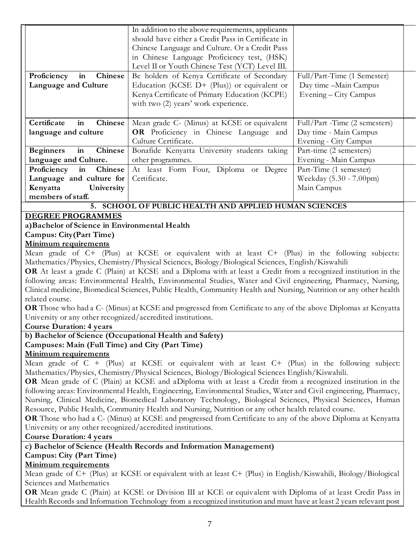|                                                                 | In addition to the above requirements, applicants  |                               |  |
|-----------------------------------------------------------------|----------------------------------------------------|-------------------------------|--|
|                                                                 | should have either a Credit Pass in Certificate in |                               |  |
|                                                                 | Chinese Language and Culture. Or a Credit Pass     |                               |  |
|                                                                 | in Chinese Language Proficiency test, (HSK)        |                               |  |
|                                                                 | Level II or Youth Chinese Test (YCT) Level III.    |                               |  |
| Proficiency<br><b>Chinese</b><br>in                             | Be holders of Kenya Certificate of Secondary       | Full/Part-Time (1 Semester)   |  |
| Language and Culture                                            | Education (KCSE $D+$ (Plus)) or equivalent or      | Day time -Main Campus         |  |
|                                                                 | Kenya Certificate of Primary Education (KCPE)      | Evening – City Campus         |  |
|                                                                 | with two (2) years' work experience.               |                               |  |
|                                                                 |                                                    |                               |  |
| Certificate<br>in<br>Chinese                                    | Mean grade C- (Minus) at KCSE or equivalent        | Full/Part -Time (2 semesters) |  |
| language and culture                                            | <b>OR</b> Proficiency in Chinese Language and      | Day time - Main Campus        |  |
|                                                                 | Culture Certificate.                               | Evening - City Campus         |  |
| in<br><b>Beginners</b><br>Chinese                               | Bonafide Kenyatta University students taking       | Part-time (2 semesters)       |  |
| language and Culture.                                           | other programmes.                                  | Evening - Main Campus         |  |
| Proficiency<br>Chinese<br>in                                    | At least Form Four, Diploma<br>or Degree           | Part-Time (1 semester)        |  |
| Language and culture for                                        | Certificate.                                       | Weekday (5.30 - 7.00pm)       |  |
| Kenyatta<br>University                                          |                                                    | Main Campus                   |  |
| members of staff.                                               |                                                    |                               |  |
| <b>SCHOOL OF PUBLIC HEALTH AND APPLIED HUMAN SCIENCES</b><br>5. |                                                    |                               |  |

#### **DEGREE PROGRAMMES**

**a)Bachelor of Science in Environmental Health**

## **Campus: City(Part Time)**

#### **Minimum requirements**

Mean grade of C+ (Plus) at KCSE or equivalent with at least C+ (Plus) in the following subjects: Mathematics/Physics, Chemistry/Physical Sciences, Biology/Biological Sciences, English/Kiswahili

**OR** At least a grade C (Plain) at KCSE and a Diploma with at least a Credit from a recognized institution in the following areas: Environmental Health, Environmental Studies, Water and Civil engineering, Pharmacy, Nursing, Clinical medicine, Biomedical Sciences, Public Health, Community Health and Nursing, Nutrition or any other health related course.

**OR** Those who had a C- (Minus) at KCSE and progressed from Certificate to any of the above Diplomas at Kenyatta University or any other recognized/accredited institutions.

#### **Course Duration: 4 years**

# **b) Bachelor of Science (Occupational Health and Safety)**

# **Campuses: Main (Full Time) and City (Part Time)**

#### **Minimum requirements**

Mean grade of  $C + (Plus)$  at KCSE or equivalent with at least  $C + (Plus)$  in the following subject: Mathematics/Physics, Chemistry/Physical Sciences, Biology/Biological Sciences English/Kiswahili.

**OR** Mean grade of C (Plain) at KCSE and aDiploma with at least a Credit from a recognized institution in the following areas: Environmental Health, Engineering, Environmental Studies, Water and Civil engineering, Pharmacy, Nursing, Clinical Medicine, Biomedical Laboratory Technology, Biological Sciences, Physical Sciences, Human Resource, Public Health, Community Health and Nursing, Nutrition or any other health related course.

**OR** Those who had a C- (Minus) at KCSE and progressed from Certificate to any of the above Diploma at Kenyatta University or any other recognized/accredited institutions.

**Course Duration: 4 years**

**c) Bachelor of Science (Health Records and Information Management)** 

# **Campus: City (Part Time)**

## **Minimum requirements**

Mean grade of C+ (Plus) at KCSE or equivalent with at least C+ (Plus) in English/Kiswahili, Biology/Biological Sciences and Mathematics

**OR** Mean grade C (Plain) at KCSE or Division III at KCE or equivalent with Diploma of at least Credit Pass in Health Records and Information Technology from a recognized institution and must have at least 2 years relevant post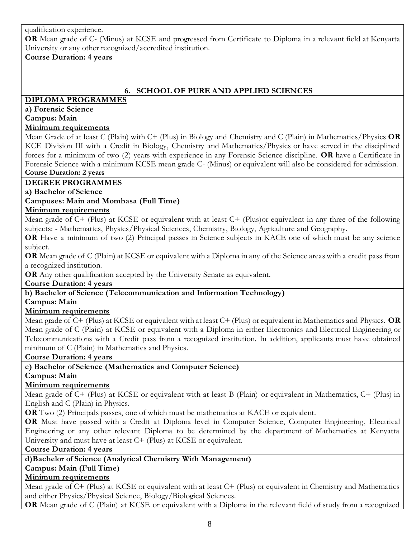qualification experience.

**OR** Mean grade of C- (Minus) at KCSE and progressed from Certificate to Diploma in a relevant field at Kenyatta University or any other recognized/accredited institution.

## **Course Duration: 4 years**

# **6. SCHOOL OF PURE AND APPLIED SCIENCES**

## **DIPLOMA PROGRAMMES**

## **a) Forensic Science**

## **Campus: Main**

## **Minimum requirements**

Mean Grade of at least C (Plain) with C+ (Plus) in Biology and Chemistry and C (Plain) in Mathematics/Physics **OR** KCE Division III with a Credit in Biology, Chemistry and Mathematics/Physics or have served in the disciplined forces for a minimum of two (2) years with experience in any Forensic Science discipline. **OR** have a Certificate in Forensic Science with a minimum KCSE mean grade C- (Minus) or equivalent will also be considered for admission. **Course Duration: 2 years**

## **DEGREE PROGRAMMES**

**a) Bachelor of Science**

## **Campuses: Main and Mombasa (Full Time)**

## **Minimum requirements**

Mean grade of  $C+$  (Plus) at KCSE or equivalent with at least  $C+$  (Plus)or equivalent in any three of the following subjects: - Mathematics, Physics/Physical Sciences, Chemistry, Biology, Agriculture and Geography.

**OR** Have a minimum of two (2) Principal passes in Science subjects in KACE one of which must be any science subject.

**OR** Mean grade of C (Plain) at KCSE or equivalent with a Diploma in any of the Science areas with a credit pass from a recognized institution.

**OR** Any other qualification accepted by the University Senate as equivalent.

**Course Duration: 4 years**

## **b) Bachelor of Science (Telecommunication and Information Technology)**

**Campus: Main** 

# **Minimum requirements**

Mean grade of C+ (Plus) at KCSE or equivalent with at least C+ (Plus) or equivalent in Mathematics and Physics. **OR** Mean grade of C (Plain) at KCSE or equivalent with a Diploma in either Electronics and Electrical Engineering or Telecommunications with a Credit pass from a recognized institution. In addition, applicants must have obtained minimum of C (Plain) in Mathematics and Physics.

## **Course Duration: 4 years**

**c) Bachelor of Science (Mathematics and Computer Science)** 

# **Campus: Main**

# **Minimum requirements**

Mean grade of C+ (Plus) at KCSE or equivalent with at least B (Plain) or equivalent in Mathematics, C+ (Plus) in English and C (Plain) in Physics.

**OR** Two (2) Principals passes, one of which must be mathematics at KACE or equivalent.

**OR** Must have passed with a Credit at Diploma level in Computer Science, Computer Engineering, Electrical Engineering or any other relevant Diploma to be determined by the department of Mathematics at Kenyatta University and must have at least C+ (Plus) at KCSE or equivalent.

## **Course Duration: 4 years**

# **d)Bachelor of Science (Analytical Chemistry With Management)**

# **Campus: Main (Full Time)**

## **Minimum requirements**

Mean grade of C+ (Plus) at KCSE or equivalent with at least C+ (Plus) or equivalent in Chemistry and Mathematics and either Physics/Physical Science, Biology/Biological Sciences.

**OR** Mean grade of C (Plain) at KCSE or equivalent with a Diploma in the relevant field of study from a recognized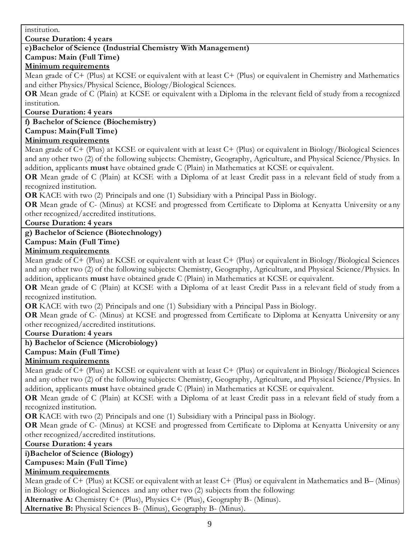institution.

**Course Duration: 4 years**

## **e)Bachelor of Science (Industrial Chemistry With Management)**

# **Campus: Main (Full Time)**

## **Minimum requirements**

Mean grade of C+ (Plus) at KCSE or equivalent with at least C+ (Plus) or equivalent in Chemistry and Mathematics and either Physics/Physical Science, Biology/Biological Sciences.

**OR** Mean grade of C (Plain) at KCSE or equivalent with a Diploma in the relevant field of study from a recognized institution.

#### **Course Duration: 4 years**

## **f) Bachelor of Science (Biochemistry)**

#### **Campus: Main(Full Time)**

## **Minimum requirements**

Mean grade of C+ (Plus) at KCSE or equivalent with at least C+ (Plus) or equivalent in Biology/Biological Sciences and any other two (2) of the following subjects: Chemistry, Geography, Agriculture, and Physical Science/Physics. In addition, applicants **must** have obtained grade C (Plain) in Mathematics at KCSE or equivalent.

**OR** Mean grade of C (Plain) at KCSE with a Diploma of at least Credit pass in a relevant field of study from a recognized institution.

**OR** KACE with two (2) Principals and one (1) Subsidiary with a Principal Pass in Biology.

**OR** Mean grade of C- (Minus) at KCSE and progressed from Certificate to Diploma at Kenyatta University or any other recognized/accredited institutions.

**Course Duration: 4 years** 

# **g) Bachelor of Science (Biotechnology)**

## **Campus: Main (Full Time)**

## **Minimum requirements**

Mean grade of C+ (Plus) at KCSE or equivalent with at least C+ (Plus) or equivalent in Biology/Biological Sciences and any other two (2) of the following subjects: Chemistry, Geography, Agriculture, and Physical Science/Physics. In addition, applicants **must** have obtained grade C (Plain) in Mathematics at KCSE or equivalent.

**OR** Mean grade of C (Plain) at KCSE with a Diploma of at least Credit Pass in a relevant field of study from a recognized institution.

**OR** KACE with two (2) Principals and one (1) Subsidiary with a Principal Pass in Biology.

**OR** Mean grade of C- (Minus) at KCSE and progressed from Certificate to Diploma at Kenyatta University or any other recognized/accredited institutions.

#### **Course Duration: 4 years**

## **h) Bachelor of Science (Microbiology)**

## **Campus: Main (Full Time)**

## **Minimum requirements**

Mean grade of C+ (Plus) at KCSE or equivalent with at least C+ (Plus) or equivalent in Biology/Biological Sciences and any other two (2) of the following subjects: Chemistry, Geography, Agriculture, and Physica l Science/Physics. In addition, applicants **must** have obtained grade C (Plain) in Mathematics at KCSE or equivalent.

**OR** Mean grade of C (Plain) at KCSE with a Diploma of at least Credit pass in a relevant field of study from a recognized institution.

**OR** KACE with two (2) Principals and one (1) Subsidiary with a Principal pass in Biology.

**OR** Mean grade of C- (Minus) at KCSE and progressed from Certificate to Diploma at Kenyatta University or any other recognized/accredited institutions.

#### **Course Duration: 4 years**

**i)Bachelor of Science (Biology)**

## **Campuses: Main (Full Time)**

## **Minimum requirements**

Mean grade of C+ (Plus) at KCSE or equivalent with at least C+ (Plus) or equivalent in Mathematics and B– (Minus) in Biology or Biological Sciences and any other two (2) subjects from the following:

**Alternative A:** Chemistry C+ (Plus), Physics C+ (Plus), Geography B- (Minus).

**Alternative B:** Physical Sciences B- (Minus), Geography B- (Minus).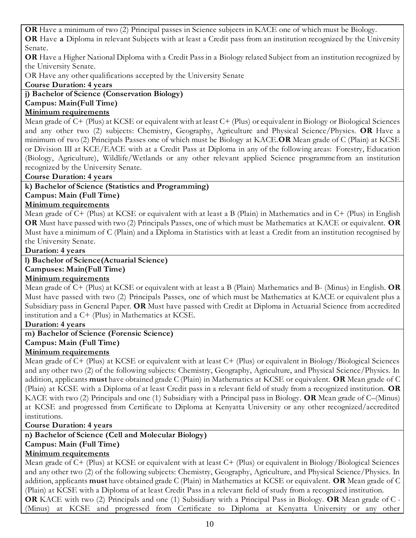**OR** Have a minimum of two (2) Principal passes in Science subjects in KACE one of which must be Biology. **OR** Have **a** Diploma in relevant Subjects with at least a Credit pass from an institution recognized by the University Senate.

**OR** Have a Higher National Diploma with a Credit Pass in a Biology related Subject from an institution recognized by the University Senate.

OR Have any other qualifications accepted by the University Senate

## **Course Duration: 4 years**

**j) Bachelor of Science (Conservation Biology) Campus: Main(Full Time) Minimum requirements**

Mean grade of C+ (Plus) at KCSE or equivalent with at least C+ (Plus) or equivalent in Biology or Biological Sciences and any other two (2) subjects: Chemistry, Geography, Agriculture and Physical Science/Physics. **OR** Have a minimum of two (2) Principals Passes one of which must be Biology at KACE.**OR** Mean grade of C (Plain) at KCSE or Division III at KCE/EACE with at a Credit Pass at Diploma in any of the following areas: Forestry, Education (Biology, Agriculture), Wildlife/Wetlands or any other relevant applied Science programme from an institution recognized by the University Senate.

## **Course Duration: 4 years**

**k) Bachelor of Science (Statistics and Programming)**

# **Campus: Main (Full Time)**

# **Minimum requirements**

Mean grade of C+ (Plus) at KCSE or equivalent with at least a B (Plain) in Mathematics and in C+ (Plus) in English **OR** Must have passed with two (2) Principals Passes, one of which must be Mathematics at KACE or equivalent. **OR** Must have a minimum of C (Plain) and a Diploma in Statistics with at least a Credit from an institution recognised by the University Senate.

## **Duration: 4 years**

**l) Bachelor of Science(Actuarial Science)**

**Campuses: Main(Full Time)**

# **Minimum requirements**

Mean grade of C+ (Plus) at KCSE or equivalent with at least a B (Plain) Mathematics and B- (Minus) in English. **OR**  Must have passed with two (2) Principals Passes, one of which must be Mathematics at KACE or equivalent plus a Subsidiary pass in General Paper. **OR** Must have passed with Credit at Diploma in Actuarial Science from accredited institution and a C+ (Plus) in Mathematics at KCSE.

## **Duration: 4 years**

# **m) Bachelor of Science (Forensic Science)**

# **Campus: Main (Full Time)**

# **Minimum requirements**

Mean grade of C+ (Plus) at KCSE or equivalent with at least C+ (Plus) or equivalent in Biology/Biological Sciences and any other two (2) of the following subjects: Chemistry, Geography, Agriculture, and Physical Science/Physics. In addition, applicants **must** have obtained grade C (Plain) in Mathematics at KCSE or equivalent. **OR** Mean grade of C (Plain) at KCSE with a Diploma of at least Credit pass in a relevant field of study from a recognized institution. **OR** KACE with two (2) Principals and one (1) Subsidiary with a Principal pass in Biology. **OR** Mean grade of C–(Minus) at KCSE and progressed from Certificate to Diploma at Kenyatta University or any other recognized/accredited institutions.

## **Course Duration: 4 years**

# **n) Bachelor of Science (Cell and Molecular Biology)**

# **Campus: Main (Full Time)**

# **Minimum requirements**

Mean grade of C+ (Plus) at KCSE or equivalent with at least C+ (Plus) or equivalent in Biology/Biological Sciences and any other two (2) of the following subjects: Chemistry, Geography, Agriculture, and Physical Science/Physics. In addition, applicants **must** have obtained grade C (Plain) in Mathematics at KCSE or equivalent. **OR** Mean grade of C (Plain) at KCSE with a Diploma of at least Credit Pass in a relevant field of study from a recognized institution. **OR** KACE with two (2) Principals and one (1) Subsidiary with a Principal Pass in Biology. **OR** Mean grade of C - (Minus) at KCSE and progressed from Certificate to Diploma at Kenyatta University or any other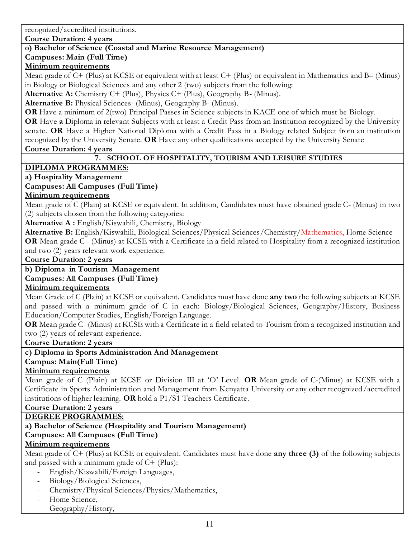recognized/accredited institutions.

**Course Duration: 4 years**

# **o) Bachelor of Science (Coastal and Marine Resource Management)**

## **Campuses: Main (Full Time)**

## **Minimum requirements**

Mean grade of C+ (Plus) at KCSE or equivalent with at least C+ (Plus) or equivalent in Mathematics and B– (Minus) in Biology or Biological Sciences and any other 2 (two) subjects from the following:

**Alternative A:** Chemistry C+ (Plus), Physics C+ (Plus), Geography B- (Minus).

**Alternative B:** Physical Sciences- (Minus), Geography B- (Minus).

**OR** Have a minimum of 2(two) Principal Passes in Science subjects in KACE one of which must be Biology.

**OR** Have **a** Diploma in relevant Subjects with at least a Credit Pass from an Institution recognized by the University senate. **OR** Have a Higher National Diploma with a Credit Pass in a Biology related Subject from an institution recognized by the University Senate. **OR** Have any other qualifications accepted by the University Senate **Course Duration: 4 years**

## **7. SCHOOL OF HOSPITALITY, TOURISM AND LEISURE STUDIES**

# **DIPLOMA PROGRAMMES:**

## **a) Hospitality Management**

## **Campuses: All Campuses (Full Time)**

## **Minimum requirements**

Mean grade of C (Plain) at KCSE or equivalent. In addition, Candidates must have obtained grade C- (Minus) in two (2) subjects chosen from the following categories:

**Alternative A :** English/Kiswahili, Chemistry, Biology

**Alternative B:** English/Kiswahili, Biological Sciences/Physical Sciences/Chemistry/Mathematics, Home Science **OR** Mean grade C - (Minus) at KCSE with a Certificate in a field related to Hospitality from a recognized institution and two (2) years relevant work experience.

## **Course Duration: 2 years**

# **b) Diploma in Tourism Management**

## **Campuses: All Campuses (Full Time)**

## **Minimum requirements**

Mean Grade of C (Plain) at KCSE or equivalent. Candidates must have done **any two** the following subjects at KCSE and passed with a minimum grade of C in each: Biology/Biological Sciences, Geography/History, Business Education/Computer Studies, English/Foreign Language.

**OR** Mean grade C- (Minus) at KCSE with a Certificate in a field related to Tourism from a recognized institution and two (2) years of relevant experience.

## **Course Duration: 2 years**

## **c) Diploma in Sports Administration And Management**

## **Campus: Main(Full Time)**

# **Minimum requirements**

Mean grade of C (Plain) at KCSE or Division III at 'O' Level. **OR** Mean grade of C-(Minus) at KCSE with a Certificate in Sports Administration and Management from Kenyatta University or any other recognized/accredited institutions of higher learning. **OR** hold a P1/S1 Teachers Certificate.

## **Course Duration: 2 years**

# **DEGREE PROGRAMMES:**

# **a) Bachelor of Science (Hospitality and Tourism Management)**

# **Campuses: All Campuses (Full Time)**

# **Minimum requirements**

Mean grade of C+ (Plus) at KCSE or equivalent. Candidates must have done **any three (3)** of the following subjects and passed with a minimum grade of  $C+$  (Plus):

- English/Kiswahili/Foreign Languages,
- Biology/Biological Sciences,
- Chemistry/Physical Sciences/Physics/Mathematics,
- Home Science,
- Geography/History,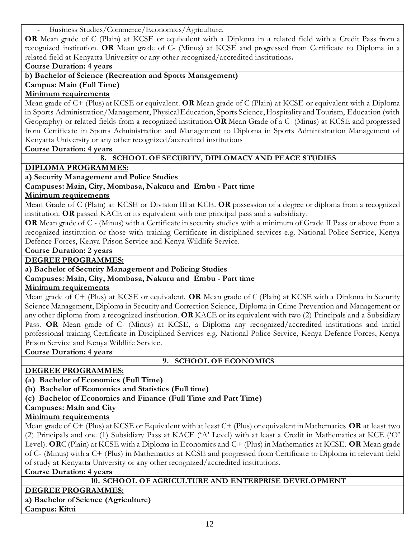Business Studies/Commerce/Economics/Agriculture.

**OR** Mean grade of C (Plain) at KCSE or equivalent with a Diploma in a related field with a Credit Pass from a recognized institution. **OR** Mean grade of C- (Minus) at KCSE and progressed from Certificate to Diploma in a related field at Kenyatta University or any other recognized/accredited institutions**.**

**Course Duration: 4 years**

**b) Bachelor of Science (Recreation and Sports Management)** 

**Campus: Main (Full Time)**

## **Minimum requirements**

Mean grade of C+ (Plus) at KCSE or equivalent. **OR** Mean grade of C (Plain) at KCSE or equivalent with a Diploma in Sports Administration/Management, Physical Education, Sports Science, Hospitality and Tourism, Education (with Geography) or related fields from a recognized institution.**OR** Mean Grade of a C- (Minus) at KCSE and progressed from Certificate in Sports Administration and Management to Diploma in Sports Administration Management of Kenyatta University or any other recognized/accredited institutions

**Course Duration: 4 years**

## **8. SCHOOL OF SECURITY, DIPLOMACY AND PEACE STUDIES**

## **DIPLOMA PROGRAMMES:**

**a) Security Management and Police Studies**

## **Campuses: Main, City, Mombasa, Nakuru and Embu - Part time**

## **Minimum requirements**

Mean Grade of C (Plain) at KCSE or Division III at KCE. **OR** possession of a degree or diploma from a recognized institution. **OR** passed KACE or its equivalent with one principal pass and a subsidiary.

**OR** Mean grade of C - (Minus) with a Certificate in security studies with a minimum of Grade II Pass or above from a recognized institution or those with training Certificate in disciplined services e.g. National Police Service, Kenya Defence Forces, Kenya Prison Service and Kenya Wildlife Service.

## **Course Duration: 2 years**

## **DEGREE PROGRAMMES:**

**a) Bachelor of Security Management and Policing Studies**

## **Campuses: Main, City, Mombasa, Nakuru and Embu - Part time**

## **Minimum requirements**

Mean grade of C+ (Plus) at KCSE or equivalent. **OR** Mean grade of C (Plain) at KCSE with a Diploma in Security Science Management, Diploma in Security and Correction Science, Diploma in Crime Prevention and Management or any other diploma from a recognized institution. **OR** KACE or its equivalent with two (2) Principals and a Subsidiary Pass. **OR** Mean grade of C- (Minus) at KCSE, a Diploma any recognized/accredited institutions and initial professional training Certificate in Disciplined Services e.g. National Police Service, Kenya Defence Forces, Kenya Prison Service and Kenya Wildlife Service.

**Course Duration: 4 years**

## **9. SCHOOL OF ECONOMICS**

## **DEGREE PROGRAMMES:**

**(a) Bachelor of Economics (Full Time)**

**(b) Bachelor of Economics and Statistics (Full time)**

**(c) Bachelor of Economics and Finance (Full Time and Part Time)**

## **Campuses: Main and City**

# **Minimum requirements**

Mean grade of C+ (Plus) at KCSE or Equivalent with at least C+ (Plus) or equivalent in Mathematics **OR** at least two (2) Principals and one (1) Subsidiary Pass at KACE ('A' Level) with at least a Credit in Mathematics at KCE ('O' Level). **OR**C (Plain) at KCSE with a Diploma in Economics and C+ (Plus) in Mathematics at KCSE. **OR** Mean grade of C- (Minus) with a C+ (Plus) in Mathematics at KCSE and progressed from Certificate to Diploma in relevant field of study at Kenyatta University or any other recognized/accredited institutions.

## **Course Duration: 4 years**

## **10. SCHOOL OF AGRICULTURE AND ENTERPRISE DEVELOPMENT**

# **DEGREE PROGRAMMES:**

**a) Bachelor of Science (Agriculture) Campus: Kitui**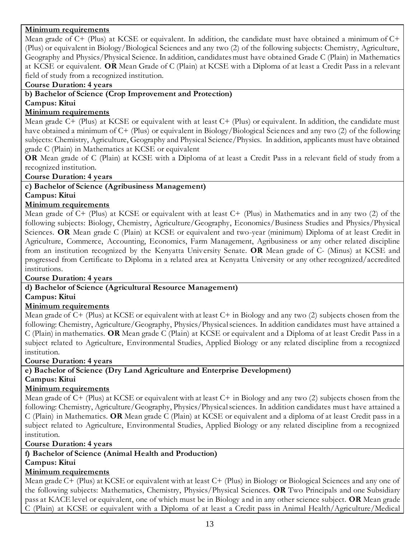## **Minimum requirements**

Mean grade of C+ (Plus) at KCSE or equivalent. In addition, the candidate must have obtained a minimum of C+ (Plus) or equivalent in Biology/Biological Sciences and any two (2) of the following subjects: Chemistry, Agriculture, Geography and Physics/Physical Science. In addition, candidates must have obta ined Grade C (Plain) in Mathematics at KCSE or equivalent. **OR** Mean Grade of C (Plain) at KCSE with a Diploma of at least a Credit Pass in a relevant field of study from a recognized institution.

#### **Course Duration: 4 years**

# **b) Bachelor of Science (Crop Improvement and Protection)**

## **Campus: Kitui**

## **Minimum requirements**

Mean grade C+ (Plus) at KCSE or equivalent with at least C+ (Plus) or equivalent. In addition, the candidate must have obtained a minimum of C+ (Plus) or equivalent in Biology/Biological Sciences and any two (2) of the following subjects: Chemistry, Agriculture, Geography and Physical Science/Physics. In addition, applicants must have obtained grade C (Plain) in Mathematics at KCSE or equivalent

**OR** Mean grade of C (Plain) at KCSE with a Diploma of at least a Credit Pass in a relevant field of study from a recognized institution.

#### **Course Duration: 4 years**

#### **c) Bachelor of Science (Agribusiness Management) Campus: Kitui**

## **Minimum requirements**

Mean grade of C+ (Plus) at KCSE or equivalent with at least C+ (Plus) in Mathematics and in any two (2) of the following subjects: Biology, Chemistry, Agriculture/Geography, Economics/Business Studies and Physics/Physical Sciences. **OR** Mean grade C (Plain) at KCSE or equivalent and two-year (minimum) Diploma of at least Credit in Agriculture, Commerce, Accounting, Economics, Farm Management, Agribusiness or any other related discipline from an institution recognized by the Kenyatta University Senate. **OR** Mean grade of C- (Minus) at KCSE and progressed from Certificate to Diploma in a related area at Kenyatta University or any other recognized/accredited institutions.

## **Course Duration: 4 years**

## **d) Bachelor of Science (Agricultural Resource Management)**

#### **Campus: Kitui**

## **Minimum requirements**

Mean grade of C+ (Plus) at KCSE or equivalent with at least C+ in Biology and any two (2) subjects chosen from the following: Chemistry, Agriculture/Geography, Physics/Physical sciences. In addition candidates must have attained a C (Plain) in mathematics. **OR** Mean grade C (Plain) at KCSE or equivalent and a Diploma of at least Credit Pass in a subject related to Agriculture, Environmental Studies, Applied Biology or any related discipline from a recognized institution.

#### **Course Duration: 4 years**

## **e) Bachelor of Science (Dry Land Agriculture and Enterprise Development) Campus: Kitui**

#### **Minimum requirements**

Mean grade of C+ (Plus) at KCSE or equivalent with at least C+ in Biology and any two (2) subjects chosen from the following: Chemistry, Agriculture/Geography, Physics/Physical sciences. In addition candidates must have attained a C (Plain) in Mathematics. **OR** Mean grade C (Plain) at KCSE or equivalent and a diploma of at least Credit pass in a subject related to Agriculture, Environmental Studies, Applied Biology or any related discipline from a recognized institution.

#### **Course Duration: 4 years**

# **f) Bachelor of Science (Animal Health and Production)**

# **Campus: Kitui**

# **Minimum requirements**

Mean grade C+ (Plus) at KCSE or equivalent with at least C+ (Plus) in Biology or Biological Sciences and any one of the following subjects: Mathematics, Chemistry, Physics/Physical Sciences. **OR** Two Principals and one Subsidiary pass at KACE level or equivalent, one of which must be in Biology and in any other science subject. **OR** Mean grade C (Plain) at KCSE or equivalent with a Diploma of at least a Credit pass in Animal Health/Agriculture/Medical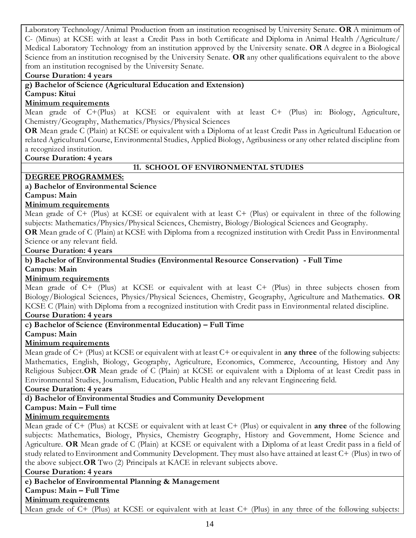Laboratory Technology/Animal Production from an institution recognised by University Senate. **OR** A minimum of C- (Minus) at KCSE with at least a Credit Pass in both Certificate and Diploma in Animal Health /Agriculture/ Medical Laboratory Technology from an institution approved by the University senate. **OR** A degree in a Biological Science from an institution recognised by the University Senate. **OR** any other qualifications equivalent to the above from an institution recognised by the University Senate.

#### **Course Duration: 4 years**

**g) Bachelor of Science (Agricultural Education and Extension)** 

#### **Campus: Kitui**

## **Minimum requirements**

Mean grade of C+(Plus) at KCSE or equivalent with at least C+ (Plus) in: Biology, Agriculture, Chemistry/Geography, Mathematics/Physics/Physical Sciences

**OR** Mean grade C (Plain) at KCSE or equivalent with a Diploma of at least Credit Pass in Agricultural Education or related Agricultural Course, Environmental Studies, Applied Biology, Agribusiness or any other related discipline from a recognized institution.

**Course Duration: 4 years**

## **11. SCHOOL OF ENVIRONMENTAL STUDIES**

#### **DEGREE PROGRAMMES: a) Bachelor of Environmental Science**

**Campus: Main**

## **Minimum requirements**

Mean grade of C+ (Plus) at KCSE or equivalent with at least C+ (Plus) or equivalent in three of the following subjects: Mathematics/Physics/Physical Sciences, Chemistry, Biology/Biological Sciences and Geography.

**OR** Mean grade of C (Plain) at KCSE with Diploma from a recognized institution with Credit Pass in Environmental Science or any relevant field.

## **Course Duration: 4 years**

## **b) Bachelor of Environmental Studies (Environmental Resource Conservation) - Full Time Campus**: **Main**

#### **Minimum requirements**

Mean grade of C+ (Plus) at KCSE or equivalent with at least C+ (Plus) in three subjects chosen from Biology/Biological Sciences, Physics/Physical Sciences, Chemistry, Geography, Agriculture and Mathematics. **OR**  KCSE C (Plain) with Diploma from a recognized institution with Credit pass in Environmental related discipline.

## **Course Duration: 4 years**

# **c) Bachelor of Science (Environmental Education) – Full Time**

#### **Campus: Main**

## **Minimum requirements**

Mean grade of C+ (Plus) at KCSE or equivalent with at least C+ or equivalent in **any three** of the following subjects: Mathematics, English, Biology, Geography, Agriculture, Economics, Commerce, Accounting, History and Any Religious Subject.**OR** Mean grade of C (Plain) at KCSE or equivalent with a Diploma of at least Credit pass in Environmental Studies, Journalism, Education, Public Health and any relevant Engineering field.

#### **Course Duration: 4 years**

## **d) Bachelor of Environmental Studies and Community Development**

# **Campus: Main – Full time**

## **Minimum requirements**

Mean grade of C+ (Plus) at KCSE or equivalent with at least C+ (Plus) or equivalent in **any three** of the following subjects: Mathematics, Biology, Physics, Chemistry Geography, History and Government, Home Science and Agriculture. **OR** Mean grade of C (Plain) at KCSE or equivalent with a Diploma of at least Credit pass in a field of study related to Environment and Community Development. They must also have attained at least C+ (Plus) in two of the above subject.**OR** Two (2) Principals at KACE in relevant subjects above.

#### **Course Duration: 4 years**

# **e) Bachelor of Environmental Planning & Management**

# **Campus: Main – Full Time**

# **Minimum requirements**

Mean grade of C+ (Plus) at KCSE or equivalent with at least C+ (Plus) in any three of the following subjects: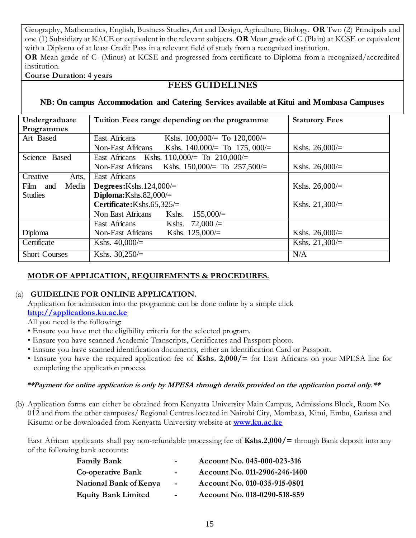Geography, Mathematics, English, Business Studies, Art and Design, Agriculture, Biology. **OR** Two (2) Principals and one (1) Subsidiary at KACE or equivalent in the relevant subjects. **OR** Mean grade of C (Plain) at KCSE or equivalent with a Diploma of at least Credit Pass in a relevant field of study from a recognized institution. **OR** Mean grade of C- (Minus) at KCSE and progressed from certificate to Diploma from a recognized/accredited institution.

**Course Duration: 4 years**

# **FEES GUIDELINES**

# **NB: On campus Accommodation and Catering Services available at Kitui and Mombasa Campuses**

| Undergraduate        | Tuition Fees range depending on the programme        | <b>Statutory Fees</b> |
|----------------------|------------------------------------------------------|-----------------------|
| Programmes           |                                                      |                       |
| Art Based            | East Africans<br>Kshs. $100,000/=$ To $120,000/=$    |                       |
|                      | Non-East Africans<br>Kshs. 140,000/= To 175, 000/=   | Kshs. $26,000/=$      |
| Science Based        | East Africans Kshs. $110,000/=$ To $210,000/=$       |                       |
|                      | Kshs. 150,000/= To $257,500/$ =<br>Non-East Africans | Kshs. 26,000/=        |
| Creative<br>Arts,    | East Africans                                        |                       |
| Film and<br>Media    | Degrees: $Kshs.124,000/=$                            | Kshs. $26,000/=$      |
| <b>Studies</b>       | Diploma: Kshs. $82,000/=$                            |                       |
|                      | Certificate: Kshs. 65,325/=                          | Kshs. $21,300/=$      |
|                      | 155,000/<br>Non East Africans<br>Kshs.               |                       |
|                      | $72,000 =$<br>East Africans<br>Kshs.                 |                       |
| Diploma              | Kshs. $125,000/=$<br><b>Non-East Africans</b>        | Kshs. $26,000/=$      |
| Certificate          | Kshs. $40,000/=$                                     | Kshs. $21,300/=$      |
| <b>Short Courses</b> | Kshs. $30,250/=$                                     | N/A                   |

# **MODE OF APPLICATION, REQUIREMENTS & PROCEDURES.**

# (a) **GUIDELINE FOR ONLINE APPLICATION.**

Application for admission into the programme can be done online by a simple click **[http://applications.ku.ac.ke](http://applications.ku.ac.ke/)**

All you need is the following:

- Ensure you have met the eligibility criteria for the selected program.
- Ensure you have scanned Academic Transcripts, Certificates and Passport photo.
- Ensure you have scanned identification documents, either an Identification Card or Passport.
- Ensure you have the required application fee of **Kshs. 2,000/=** for East Africans on your MPESA line for completing the application process.

## **\*\*Payment for online application is only by MPESA through details provided on the application portal only.\*\***

(b) Application forms can either be obtained from Kenyatta University Main Campus, Admissions Block, Room No. 012 and from the other campuses/ Regional Centres located in Nairobi City, Mombasa, Kitui, Embu, Garissa and Kisumu or be downloaded from Kenyatta University website at **[www.ku.ac.ke](http://www.ku.ac.ke/)**

East African applicants shall pay non-refundable processing fee of **Kshs.2,000/=** through Bank deposit into any of the following bank accounts:

| <b>Family Bank</b>            | $\blacksquare$ | Account No. 045-000-023-316   |
|-------------------------------|----------------|-------------------------------|
| <b>Co-operative Bank</b>      | $\blacksquare$ | Account No. 011-2906-246-1400 |
| <b>National Bank of Kenya</b> | $\sim$         | Account No. 010-035-915-0801  |
| <b>Equity Bank Limited</b>    | $\blacksquare$ | Account No. 018-0290-518-859  |